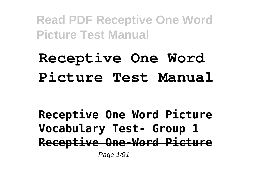# **Receptive One Word Picture Test Manual**

**Receptive One Word Picture Vocabulary Test- Group 1 Receptive One-Word Picture** Page 1/91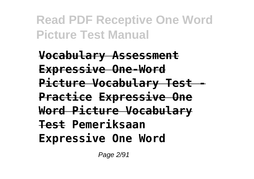**Vocabulary Assessment Expressive One-Word Picture Vocabulary Test - Practice Expressive One Word Picture Vocabulary Test Pemeriksaan Expressive One Word**

Page 2/91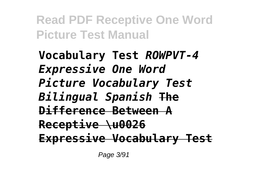**Vocabulary Test** *ROWPVT-4 Expressive One Word Picture Vocabulary Test Bilingual Spanish* **The Difference Between A Receptive \u0026 Expressive Vocabulary Test**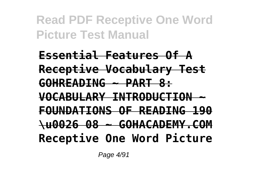**Essential Features Of A Receptive Vocabulary Test GOHREADING ~ PART 8: VOCABULARY INTRODUCTION ~ FOUNDATIONS OF READING 190 \u0026 08 ~ GOHACADEMY.COM Receptive One Word Picture**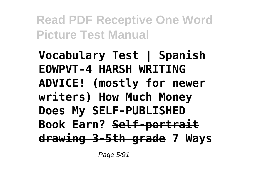**Vocabulary Test | Spanish EOWPVT-4 HARSH WRITING ADVICE! (mostly for newer writers) How Much Money Does My SELF-PUBLISHED Book Earn? Self-portrait drawing 3-5th grade 7 Ways**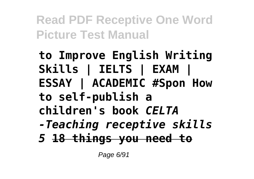**to Improve English Writing Skills | IELTS | EXAM | ESSAY | ACADEMIC #Spon How to self-publish a children's book** *CELTA -Teaching receptive skills 5* **18 things you need to**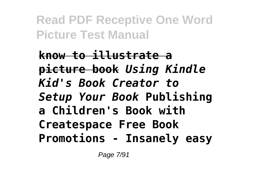**know to illustrate a picture book** *Using Kindle Kid's Book Creator to Setup Your Book* **Publishing a Children's Book with Createspace Free Book Promotions - Insanely easy**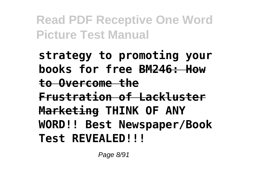**strategy to promoting your books for free BM246: How to Overcome the Frustration of Lackluster Marketing THINK OF ANY WORD!! Best Newspaper/Book Test REVEALED!!!**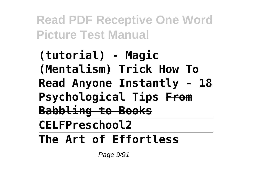**(tutorial) - Magic (Mentalism) Trick How To Read Anyone Instantly - 18 Psychological Tips From Babbling to Books CELFPreschool2 The Art of Effortless**

Page 9/91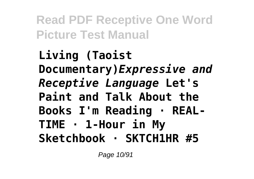**Living (Taoist Documentary)***Expressive and Receptive Language* **Let's Paint and Talk About the Books I'm Reading · REAL-TIME · 1-Hour in My Sketchbook · SKTCH1HR #5**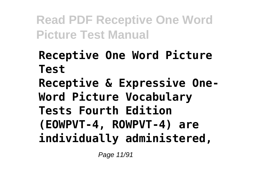**Receptive One Word Picture Test Receptive & Expressive One-Word Picture Vocabulary Tests Fourth Edition (EOWPVT-4, ROWPVT-4) are individually administered,**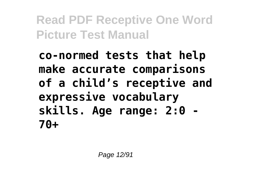**co-normed tests that help make accurate comparisons of a child's receptive and expressive vocabulary skills. Age range: 2:0 - 70+**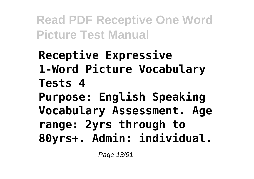**Receptive Expressive 1-Word Picture Vocabulary Tests 4 Purpose: English Speaking Vocabulary Assessment. Age range: 2yrs through to 80yrs+. Admin: individual.**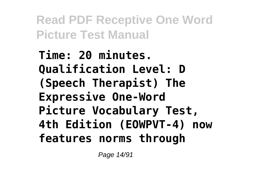**Time: 20 minutes. Qualification Level: D (Speech Therapist) The Expressive One-Word Picture Vocabulary Test, 4th Edition (EOWPVT-4) now features norms through**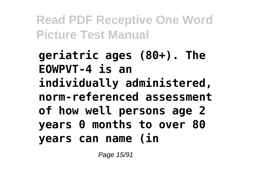**geriatric ages (80+). The EOWPVT-4 is an individually administered, norm-referenced assessment of how well persons age 2 years 0 months to over 80 years can name (in**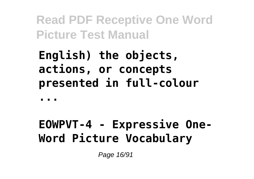**English) the objects, actions, or concepts presented in full-colour**

**...**

### **EOWPVT-4 - Expressive One-Word Picture Vocabulary**

Page 16/91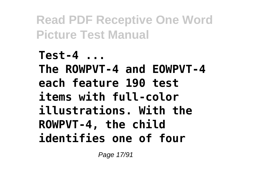**Test-4 ... The ROWPVT-4 and EOWPVT-4 each feature 190 test items with full-color illustrations. With the ROWPVT-4, the child identifies one of four**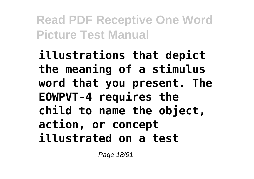**illustrations that depict the meaning of a stimulus word that you present. The EOWPVT-4 requires the child to name the object, action, or concept illustrated on a test**

Page 18/91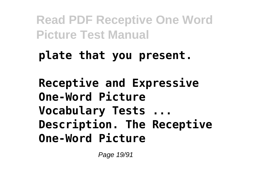#### **plate that you present.**

**Receptive and Expressive One-Word Picture Vocabulary Tests ... Description. The Receptive One-Word Picture**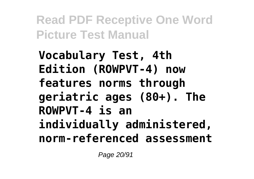**Vocabulary Test, 4th Edition (ROWPVT-4) now features norms through geriatric ages (80+). The ROWPVT-4 is an individually administered, norm-referenced assessment**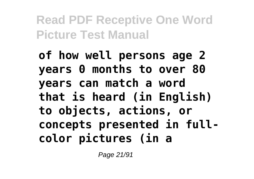**of how well persons age 2 years 0 months to over 80 years can match a word that is heard (in English) to objects, actions, or concepts presented in fullcolor pictures (in a**

Page 21/91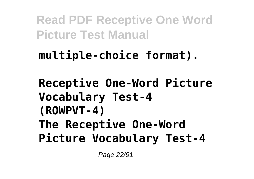## **multiple-choice format).**

**Receptive One-Word Picture Vocabulary Test-4 (ROWPVT-4) The Receptive One-Word Picture Vocabulary Test-4**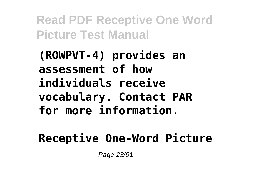**(ROWPVT-4) provides an assessment of how individuals receive vocabulary. Contact PAR for more information.**

#### **Receptive One-Word Picture**

Page 23/91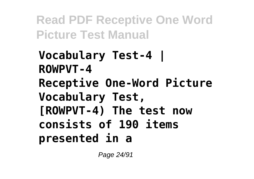**Vocabulary Test-4 | ROWPVT-4 Receptive One-Word Picture Vocabulary Test, [ROWPVT-4) The test now consists of 190 items presented in a**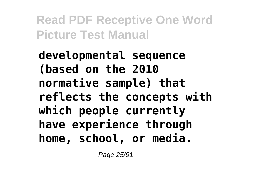**developmental sequence (based on the 2010 normative sample) that reflects the concepts with which people currently have experience through home, school, or media.**

Page 25/91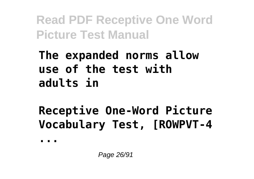### **The expanded norms allow use of the test with adults in**

# **Receptive One-Word Picture Vocabulary Test, [ROWPVT-4**

**...**

Page 26/91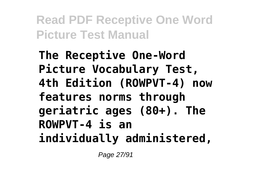**The Receptive One-Word Picture Vocabulary Test, 4th Edition (ROWPVT-4) now features norms through geriatric ages (80+). The ROWPVT-4 is an individually administered,**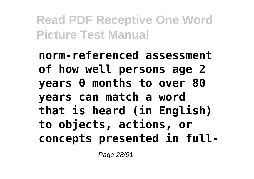**norm-referenced assessment of how well persons age 2 years 0 months to over 80 years can match a word that is heard (in English) to objects, actions, or concepts presented in full-**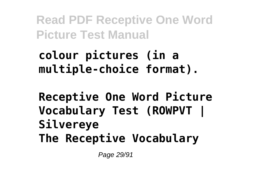**colour pictures (in a multiple-choice format).**

**Receptive One Word Picture Vocabulary Test (ROWPVT | Silvereye The Receptive Vocabulary**

Page 29/91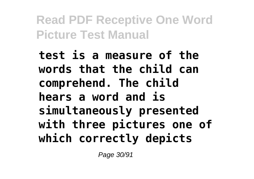**test is a measure of the words that the child can comprehend. The child hears a word and is simultaneously presented with three pictures one of which correctly depicts**

Page 30/91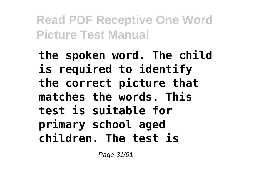**the spoken word. The child is required to identify the correct picture that matches the words. This test is suitable for primary school aged children. The test is**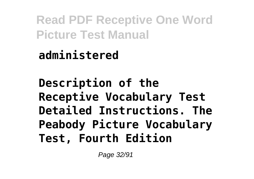**administered**

**Description of the Receptive Vocabulary Test Detailed Instructions. The Peabody Picture Vocabulary Test, Fourth Edition**

Page 32/91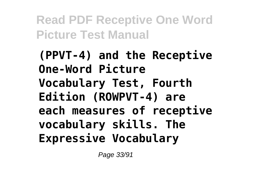**(PPVT-4) and the Receptive One-Word Picture Vocabulary Test, Fourth Edition (ROWPVT-4) are each measures of receptive vocabulary skills. The Expressive Vocabulary**

Page 33/91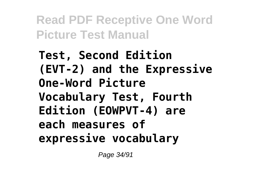**Test, Second Edition (EVT-2) and the Expressive One-Word Picture Vocabulary Test, Fourth Edition (EOWPVT-4) are each measures of expressive vocabulary**

Page 34/91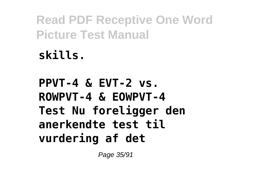**skills.**

**PPVT-4 & EVT-2 vs. ROWPVT-4 & EOWPVT-4 Test Nu foreligger den anerkendte test til vurdering af det**

Page 35/91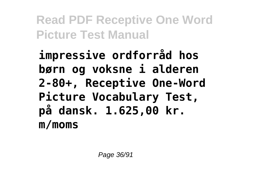**impressive ordforråd hos børn og voksne i alderen 2-80+, Receptive One-Word Picture Vocabulary Test, på dansk. 1.625,00 kr. m/moms**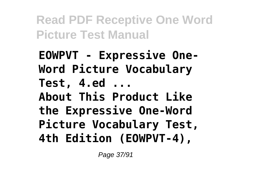**EOWPVT - Expressive One-Word Picture Vocabulary Test, 4.ed ... About This Product Like the Expressive One-Word Picture Vocabulary Test, 4th Edition (EOWPVT-4),**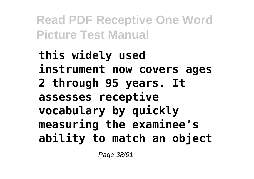**this widely used instrument now covers ages 2 through 95 years. It assesses receptive vocabulary by quickly measuring the examinee's ability to match an object**

Page 38/91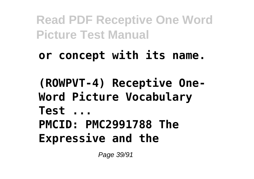- **or concept with its name.**
- **(ROWPVT-4) Receptive One-Word Picture Vocabulary Test ... PMCID: PMC2991788 The Expressive and the**

Page 39/91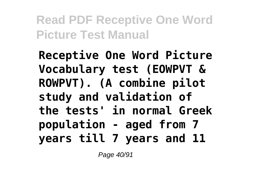**Receptive One Word Picture Vocabulary test (EOWPVT & ROWPVT). (A combine pilot study and validation of the tests' in normal Greek population - aged from 7 years till 7 years and 11**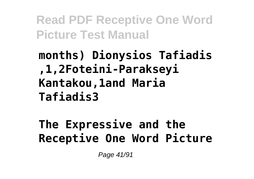## **months) Dionysios Tafiadis ,1,2Foteini-Parakseyi Kantakou,1and Maria Tafiadis3**

### **The Expressive and the Receptive One Word Picture**

Page 41/91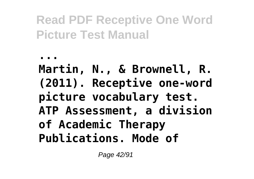**... Martin, N., & Brownell, R. (2011). Receptive one-word picture vocabulary test. ATP Assessment, a division of Academic Therapy Publications. Mode of**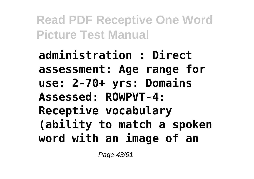**administration : Direct assessment: Age range for use: 2-70+ yrs: Domains Assessed: ROWPVT-4: Receptive vocabulary (ability to match a spoken word with an image of an**

Page 43/91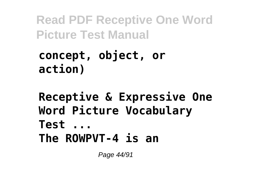#### **concept, object, or action)**

#### **Receptive & Expressive One Word Picture Vocabulary Test ... The ROWPVT-4 is an**

Page 44/91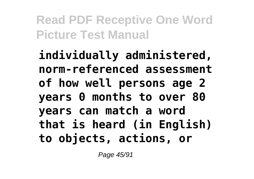**individually administered, norm-referenced assessment of how well persons age 2 years 0 months to over 80 years can match a word that is heard (in English) to objects, actions, or**

Page 45/91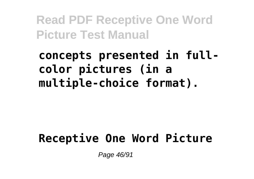**concepts presented in fullcolor pictures (in a multiple-choice format).**

#### **Receptive One Word Picture**

Page 46/91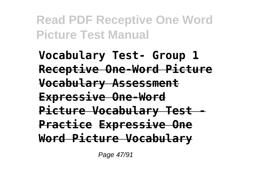**Vocabulary Test- Group 1 Receptive One-Word Picture Vocabulary Assessment Expressive One-Word Picture Vocabulary Test - Practice Expressive One Word Picture Vocabulary**

Page 47/91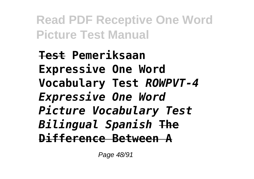**Test Pemeriksaan Expressive One Word Vocabulary Test** *ROWPVT-4 Expressive One Word Picture Vocabulary Test Bilingual Spanish* **The Difference Between A**

Page 48/91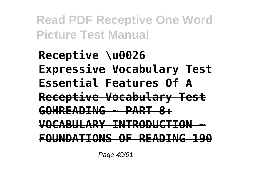**Receptive \u0026 Expressive Vocabulary Test Essential Features Of A Receptive Vocabulary Test GOHREADING ~ PART 8: VOCABULARY INTRODUCTION ~ FOUNDATIONS OF READING 190**

Page 49/91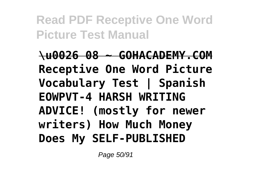**\u0026 08 ~ GOHACADEMY.COM Receptive One Word Picture Vocabulary Test | Spanish EOWPVT-4 HARSH WRITING ADVICE! (mostly for newer writers) How Much Money Does My SELF-PUBLISHED**

Page 50/91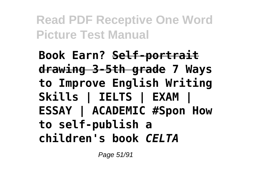**Book Earn? Self-portrait drawing 3-5th grade 7 Ways to Improve English Writing Skills | IELTS | EXAM | ESSAY | ACADEMIC #Spon How to self-publish a children's book** *CELTA*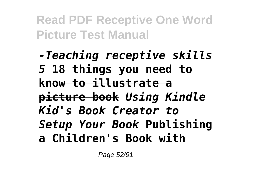*-Teaching receptive skills 5* **18 things you need to know to illustrate a picture book** *Using Kindle Kid's Book Creator to Setup Your Book* **Publishing a Children's Book with**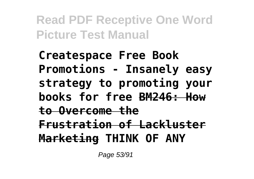**Createspace Free Book Promotions - Insanely easy strategy to promoting your books for free BM246: How to Overcome the Frustration of Lackluster Marketing THINK OF ANY**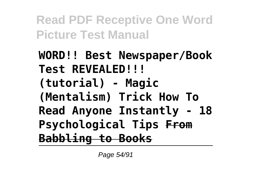**WORD!! Best Newspaper/Book Test REVEALED!!! (tutorial) - Magic (Mentalism) Trick How To Read Anyone Instantly - 18 Psychological Tips From Babbling to Books**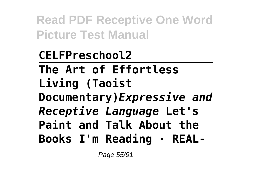**CELFPreschool2 The Art of Effortless Living (Taoist Documentary)***Expressive and Receptive Language* **Let's Paint and Talk About the Books I'm Reading · REAL-**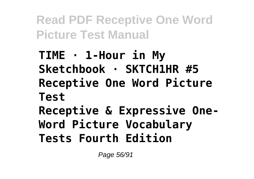**TIME · 1-Hour in My Sketchbook · SKTCH1HR #5 Receptive One Word Picture Test Receptive & Expressive One-Word Picture Vocabulary Tests Fourth Edition**

Page 56/91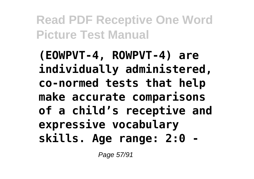**(EOWPVT-4, ROWPVT-4) are individually administered, co-normed tests that help make accurate comparisons of a child's receptive and expressive vocabulary skills. Age range: 2:0 -**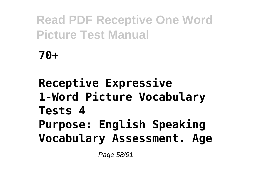**70+**

**Receptive Expressive 1-Word Picture Vocabulary Tests 4 Purpose: English Speaking Vocabulary Assessment. Age**

Page 58/91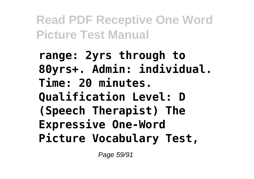**range: 2yrs through to 80yrs+. Admin: individual. Time: 20 minutes. Qualification Level: D (Speech Therapist) The Expressive One-Word Picture Vocabulary Test,**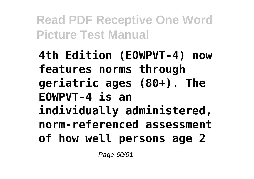**4th Edition (EOWPVT-4) now features norms through geriatric ages (80+). The EOWPVT-4 is an individually administered, norm-referenced assessment of how well persons age 2**

Page 60/91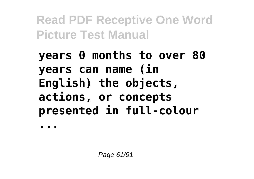**years 0 months to over 80 years can name (in English) the objects, actions, or concepts presented in full-colour**

**...**

Page 61/91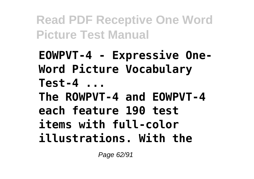**EOWPVT-4 - Expressive One-Word Picture Vocabulary Test-4 ...**

**The ROWPVT-4 and EOWPVT-4 each feature 190 test items with full-color illustrations. With the**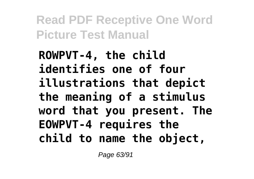**ROWPVT-4, the child identifies one of four illustrations that depict the meaning of a stimulus word that you present. The EOWPVT-4 requires the child to name the object,**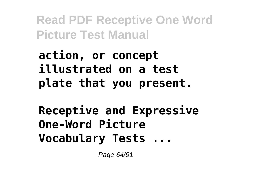**action, or concept illustrated on a test plate that you present.**

**Receptive and Expressive One-Word Picture Vocabulary Tests ...**

Page 64/91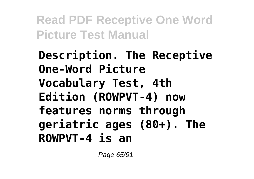**Description. The Receptive One-Word Picture Vocabulary Test, 4th Edition (ROWPVT-4) now features norms through geriatric ages (80+). The ROWPVT-4 is an**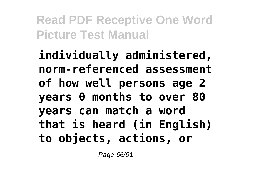**individually administered, norm-referenced assessment of how well persons age 2 years 0 months to over 80 years can match a word that is heard (in English) to objects, actions, or**

Page 66/91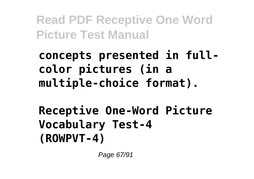**concepts presented in fullcolor pictures (in a multiple-choice format).**

**Receptive One-Word Picture Vocabulary Test-4 (ROWPVT-4)**

Page 67/91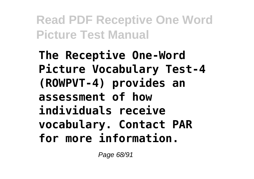**The Receptive One-Word Picture Vocabulary Test-4 (ROWPVT-4) provides an assessment of how individuals receive vocabulary. Contact PAR for more information.**

Page 68/91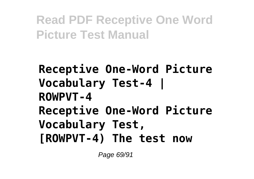**Receptive One-Word Picture Vocabulary Test-4 | ROWPVT-4 Receptive One-Word Picture Vocabulary Test, [ROWPVT-4) The test now**

Page 69/91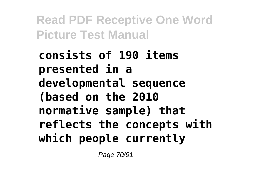**consists of 190 items presented in a developmental sequence (based on the 2010 normative sample) that reflects the concepts with which people currently**

Page 70/91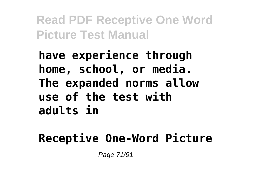**have experience through home, school, or media. The expanded norms allow use of the test with adults in**

#### **Receptive One-Word Picture**

Page 71/91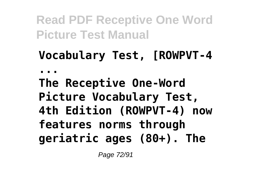# **Vocabulary Test, [ROWPVT-4 ... The Receptive One-Word Picture Vocabulary Test, 4th Edition (ROWPVT-4) now features norms through**

**geriatric ages (80+). The**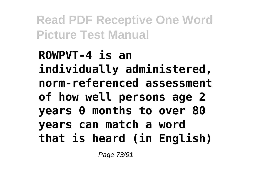**ROWPVT-4 is an individually administered, norm-referenced assessment of how well persons age 2 years 0 months to over 80 years can match a word that is heard (in English)**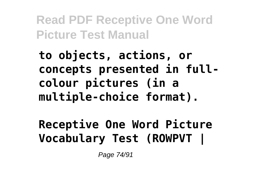**to objects, actions, or concepts presented in fullcolour pictures (in a multiple-choice format).**

**Receptive One Word Picture Vocabulary Test (ROWPVT |**

Page 74/91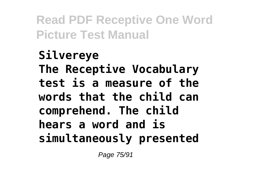**Silvereye The Receptive Vocabulary test is a measure of the words that the child can comprehend. The child hears a word and is simultaneously presented**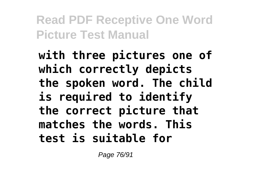**with three pictures one of which correctly depicts the spoken word. The child is required to identify the correct picture that matches the words. This test is suitable for**

Page 76/91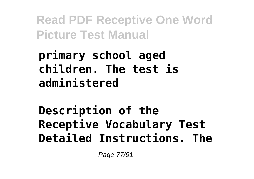**primary school aged children. The test is administered**

**Description of the Receptive Vocabulary Test Detailed Instructions. The**

Page 77/91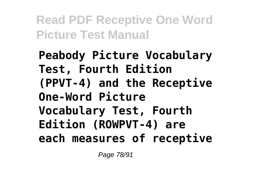**Peabody Picture Vocabulary Test, Fourth Edition (PPVT-4) and the Receptive One-Word Picture Vocabulary Test, Fourth Edition (ROWPVT-4) are each measures of receptive**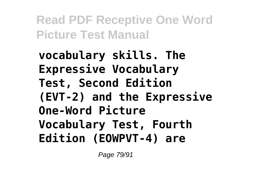**vocabulary skills. The Expressive Vocabulary Test, Second Edition (EVT-2) and the Expressive One-Word Picture Vocabulary Test, Fourth Edition (EOWPVT-4) are**

Page 79/91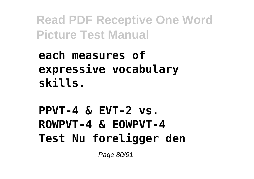**each measures of expressive vocabulary skills.**

**PPVT-4 & EVT-2 vs. ROWPVT-4 & EOWPVT-4 Test Nu foreligger den**

Page 80/91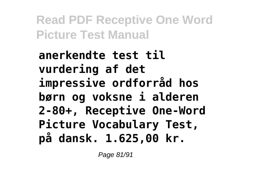**anerkendte test til vurdering af det impressive ordforråd hos børn og voksne i alderen 2-80+, Receptive One-Word Picture Vocabulary Test, på dansk. 1.625,00 kr.**

Page 81/91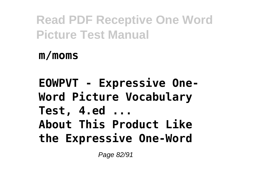**m/moms**

**EOWPVT - Expressive One-Word Picture Vocabulary Test, 4.ed ... About This Product Like the Expressive One-Word**

Page 82/91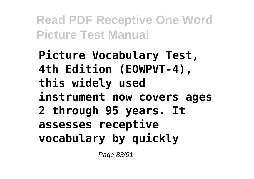**Picture Vocabulary Test, 4th Edition (EOWPVT-4), this widely used instrument now covers ages 2 through 95 years. It assesses receptive vocabulary by quickly**

Page 83/91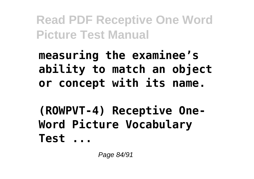**measuring the examinee's ability to match an object or concept with its name.**

**(ROWPVT-4) Receptive One-Word Picture Vocabulary Test ...**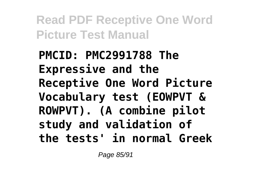**PMCID: PMC2991788 The Expressive and the Receptive One Word Picture Vocabulary test (EOWPVT & ROWPVT). (A combine pilot study and validation of the tests' in normal Greek**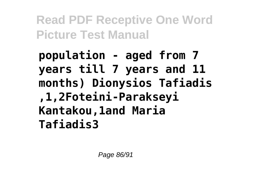**population - aged from 7 years till 7 years and 11 months) Dionysios Tafiadis ,1,2Foteini-Parakseyi Kantakou,1and Maria Tafiadis3**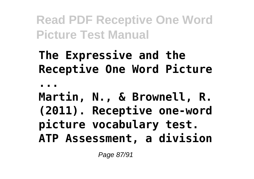## **The Expressive and the Receptive One Word Picture**

**...**

## **Martin, N., & Brownell, R. (2011). Receptive one-word picture vocabulary test. ATP Assessment, a division**

Page 87/91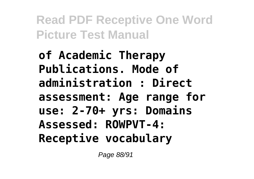**of Academic Therapy Publications. Mode of administration : Direct assessment: Age range for use: 2-70+ yrs: Domains Assessed: ROWPVT-4: Receptive vocabulary**

Page 88/91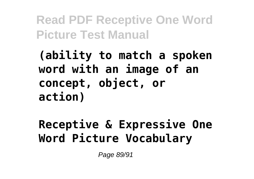**(ability to match a spoken word with an image of an concept, object, or action)**

**Receptive & Expressive One Word Picture Vocabulary**

Page 89/91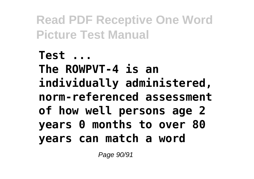**Test ... The ROWPVT-4 is an individually administered, norm-referenced assessment of how well persons age 2 years 0 months to over 80 years can match a word**